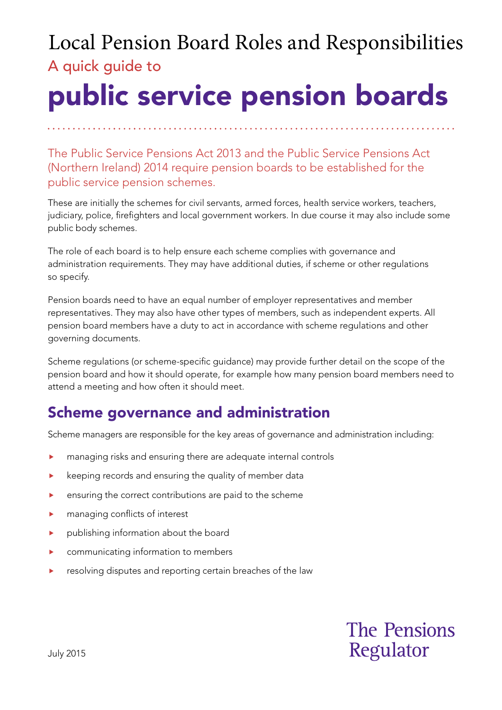## A quick guide to Local Pension Board Roles and Responsibilities

# public service pension boards

The Public Service Pensions Act 2013 and the Public Service Pensions Act (Northern Ireland) 2014 require pension boards to be established for the public service pension schemes.

These are initially the schemes for civil servants, armed forces, health service workers, teachers, judiciary, police, firefighters and local government workers. In due course it may also include some public body schemes.

The role of each board is to help ensure each scheme complies with governance and administration requirements. They may have additional duties, if scheme or other regulations so specify.

Pension boards need to have an equal number of employer representatives and member representatives. They may also have other types of members, such as independent experts. All pension board members have a duty to act in accordance with scheme regulations and other governing documents.

Scheme regulations (or scheme-specific guidance) may provide further detail on the scope of the pension board and how it should operate, for example how many pension board members need to attend a meeting and how often it should meet.

## Scheme governance and administration

Scheme managers are responsible for the key areas of governance and administration including:

- managing risks and ensuring there are adequate internal controls
- $\blacktriangleright$  keeping records and ensuring the quality of member data
- **EXECUTE:** ensuring the correct contributions are paid to the scheme
- **Managing conflicts of interest**
- publishing information about the board
- **EXECOMMUNICATION COMMUNICATION** information to members
- **EXECUTE:** resolving disputes and reporting certain breaches of the law

## **The Pensions** Regulator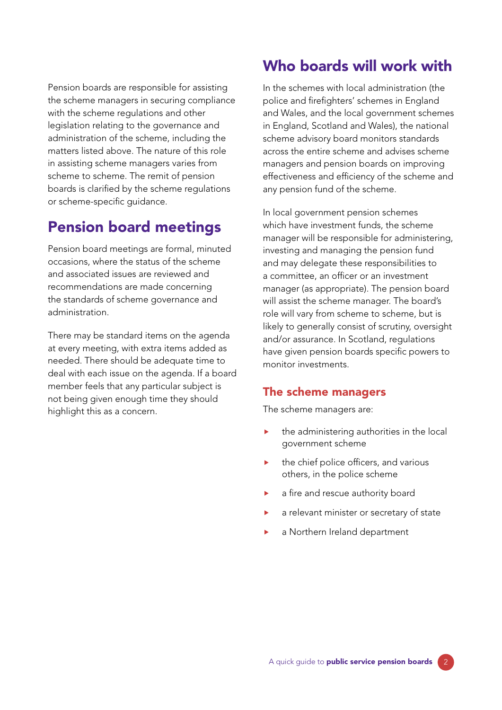Pension boards are responsible for assisting the scheme managers in securing compliance with the scheme regulations and other legislation relating to the governance and administration of the scheme, including the matters listed above. The nature of this role in assisting scheme managers varies from scheme to scheme. The remit of pension boards is clarified by the scheme regulations or scheme-specific guidance.

#### Pension board meetings

Pension board meetings are formal, minuted occasions, where the status of the scheme and associated issues are reviewed and recommendations are made concerning the standards of scheme governance and administration.

There may be standard items on the agenda at every meeting, with extra items added as needed. There should be adequate time to deal with each issue on the agenda. If a board member feels that any particular subject is not being given enough time they should highlight this as a concern.

### Who boards will work with

In the schemes with local administration (the police and firefighters' schemes in England and Wales, and the local government schemes in England, Scotland and Wales), the national scheme advisory board monitors standards across the entire scheme and advises scheme managers and pension boards on improving effectiveness and efficiency of the scheme and any pension fund of the scheme.

In local government pension schemes which have investment funds, the scheme manager will be responsible for administering, investing and managing the pension fund and may delegate these responsibilities to a committee, an officer or an investment manager (as appropriate). The pension board will assist the scheme manager. The board's role will vary from scheme to scheme, but is likely to generally consist of scrutiny, oversight and/or assurance. In Scotland, regulations have given pension boards specific powers to monitor investments.

#### The scheme managers

The scheme managers are:

- the administering authorities in the local government scheme
- the chief police officers, and various others, in the police scheme
- **a** fire and rescue authority board
- a relevant minister or secretary of state
- a Northern Ireland department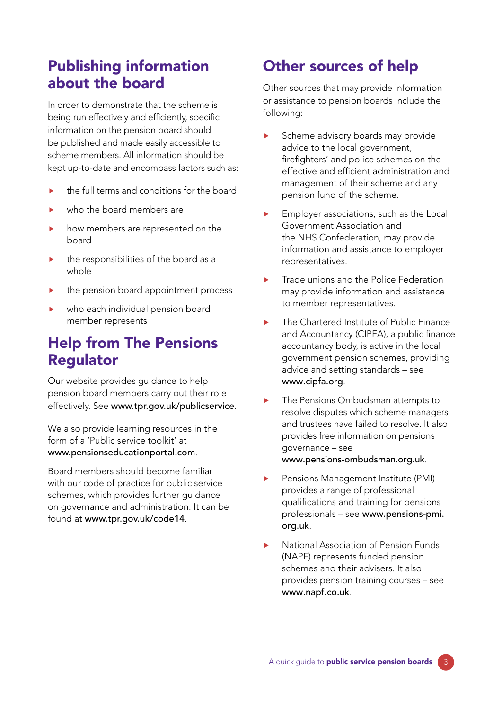### Publishing information about the board

In order to demonstrate that the scheme is being run effectively and efficiently, specific information on the pension board should be published and made easily accessible to scheme members. All information should be kept up-to-date and encompass factors such as:

- **the full terms and conditions for the board**
- who the board members are
- how members are represented on the board
- the responsibilities of the board as a whole
- the pension board appointment process
- who each individual pension board member represents

### Help from The Pensions Regulator

Our website provides guidance to help pension board members carry out their role effectively. See www.tpr.gov.uk/publicservice.

We also provide learning resources in the form of a 'Public service toolkit' at www.pensionseducationportal.com.

Board members should become familiar with our code of practice for public service schemes, which provides further guidance on governance and administration. It can be found at www.tpr.gov.uk/code14.

## Other sources of help

Other sources that may provide information or assistance to pension boards include the following:

- Scheme advisory boards may provide advice to the local government, firefighters' and police schemes on the effective and efficient administration and management of their scheme and any pension fund of the scheme.
- **Employer associations, such as the Local** Government Association and the NHS Confederation, may provide information and assistance to employer representatives.
- **Trade unions and the Police Federation** may provide information and assistance to member representatives.
- The Chartered Institute of Public Finance and Accountancy (CIPFA), a public finance accountancy body, is active in the local government pension schemes, providing advice and setting standards – see www.cipfa.org.
- ▶ The Pensions Ombudsman attempts to resolve disputes which scheme managers and trustees have failed to resolve. It also provides free information on pensions governance – see www.pensions-ombudsman.org.uk.
- **Pensions Management Institute (PMI)** provides a range of professional qualifications and training for pensions professionals – see [www.pensions-pmi.](http://www.pensions-pmi.org.uk) org.uk.
- **National Association of Pension Funds** (NAPF) represents funded pension schemes and their advisers. It also provides pension training courses – see www.napf.co.uk.